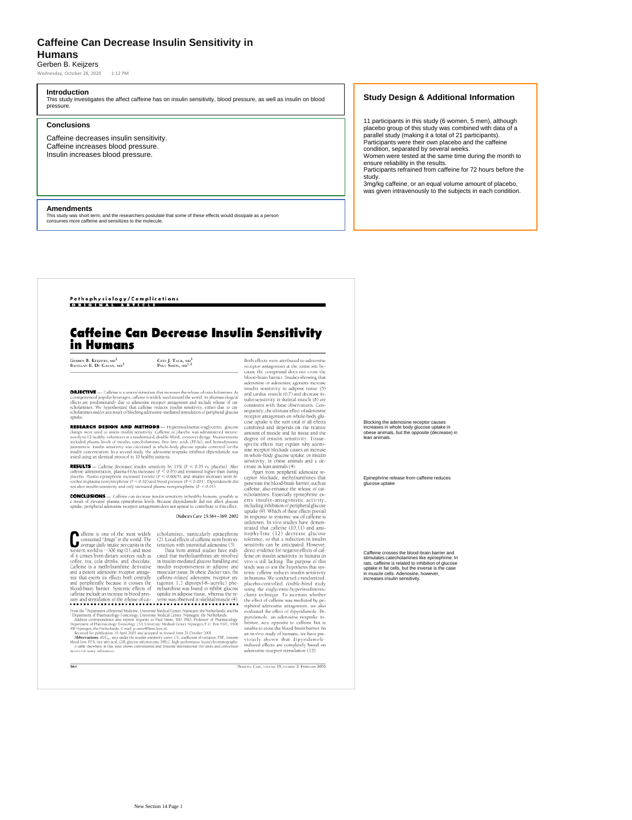# **Caffeine Can Decrease Insulin Sensitivity in Humans** Gerben B. Keijzers

Wednesday, October 28, 2020 1:12 PM

# **Introduction**

This study investigates the affect caffeine has on insulin sensitivity, blood pressure, as well as insulin on blood pressure.

# **Conclusions**

Caffeine decreases insulin sensitivity. Caffeine increases blood pressure. Insulin increases blood pressure.

### **Amendments**

This study was short term, and the researchers postulate that some of these effects would dissipate as a person consumes more caffeine and sensitizes to the molecule.

# **Study Design & Additional Information**

11 participants in this study (6 women, 5 men), although placebo group of this study was combined with data of a parallel study (making it a total of 21 participants). Participants were their own placebo and the caffeine condition, separated by several weeks. Women were tested at the same time during the month to

ensure reliability in the results. Participants refrained from caffeine for 72 hours before the

study. 3mg/kg caffeine, or an equal volume amount of placebo,

was given intravenously to the subjects in each condition.

Pathophysiology/Complications ORIGINAL ARTICLE

# **Caffeine Can Decrease Insulin Sensitivity** in Humans

GERBEN B. KEIJZERS, MD<sup>1</sup><br>BASTIAAN E. DE GALAN, MD<sup>1</sup>

CEES J. TACK, MD<sup>1</sup><sub>2</sub>

 ${\small \bf{ODIECTIVE}--Calfine is a central stimuli that increases the release of catcholamines. As a component of popular leverages, called a round the world. Its pharmacological effects are predominantly due to a denosine receptor antagonist and include release of calculations. We hypothesized that earlier reduces insulin sensitivity, either due to catcholantines and/or as a result of blocking adenosine-mediated stimulation of peripheral glucose.$ untake

**RESEARCH DESIGN AND METHODS** — Hyperinsultaemic-euglycemic glucose<br>clamps were used to assess insulin sensitivity. Caffeine or placebo was administered intrave-<br>noisly to 2 behaltly voluntees in a randomized double-blund,

**RESULTS** — Caffieine decreased insulin sensitivity by 15% ( $P < 0.05$  vs. placebo). After callentine administration , plasma FPAs increased ( $P < 0.05$ ) and ermained higher than during placebo. Pisama epinephrine increased

**CONCLUSIONS** — Caffeine can decrease insulin sensitivity in healthy humans, possibly as a result of elevated plasma epinephrine levels. Because dipyridamole did not affect glucose uptake, peripheral adenosine receptor ant

Diabetes Care 25:364-369, 2002

 $\begin{tabular}{ l l l} \textit{after} is one of the most widely echolamines, particularly eninephrine, and the world ``large's in the world. The & (2). Local effects of calfeines from in-coupled ``drig/prake per capital in the \textit{t}-tension with interstital adenosine (3).\\ \textit{western world is ``300 mg (1), and most \textit{t}-tData from animal studies have indi-\\ \end{tabular}$ we<br>step daily intake per capita in the teration with interstitial adenosine.<br>Our setern world is  $-300$  mg (1), and most<br>of it comes from dietary sources such as cated that methyl<br>xanthines are involved offer, e.g., ola d

SUE and SUIMUMION Of the release of cast-<br> $\bullet$  verse was observed in sixed in the Chapmann of the<br>anarchive control of the Chapmann of Department of Preparameter of Fermulate<br>Sueley-Toxicology. University Medical Center,

 $\overline{364}$ 

arect evolute to regative etnes or real ferme on insulin sensitivity in humans in<br>vivo is still lacking. The purpose of this<br>study was to test the hypothesis that systemic cafeirar reduces insulin sensitivity<br>in humans. We .<br>using the euglycemic-hyperinsulinemic clamp technique. To ascertain whether<br>the effect of caffeine was mediated by pethe elect of calterne was meatated by pe-<br>ripheral adenosine antagonism, we also<br>evaluated the effect of dipyridamole. Di-<br>pyridamole, an adenosine reuptake in-<br>hibitor, acts opposite to calfeine but is<br>unable to cross the an in vivo study of humans, we have pre-<br>an in vivo study of humans, we have pre-<br>viously shown that dipyridamole<br>induced effects are completely based of<br>adenosine receptor stimulation (13). sed on

Both effects were attributed to adenosine recept<br>v rangomism at the itssue site becomes cause the compound does not cross the<br>cause the compound does not cross the<br>bood-brain barrier. Studies showing that all<br>ensies in ad

sensative), in tosese ainmais and a ue-<br>sensative), in tosese ainmais (4),<br>
Apart from peripheral adenosine re-<br>
Apart from peripheral adenosities that<br>
ceptor blockade, methylxanthines that<br>
centro the condomerative canno

Both effects were attributed to adenosine

DIABETES CARE, VOLUME 25, NUMBER 2, FEBRUARY 2002

Blocking the adenosine receptor causes increases in whole body glucose uptake in obese animals, but the opposite (decrease) in lean animals.

Epinephrine release from caffeine reduces glucose uptake

Caffeine crosses the blood-brain barrier and stimulates catecholamines like epinephrine. In rats, caffeine is related to inhibition of glucose uptake in fat cells, but the inverse is the case in muscle cells. Adenosine, however, increases insulin sensitivity.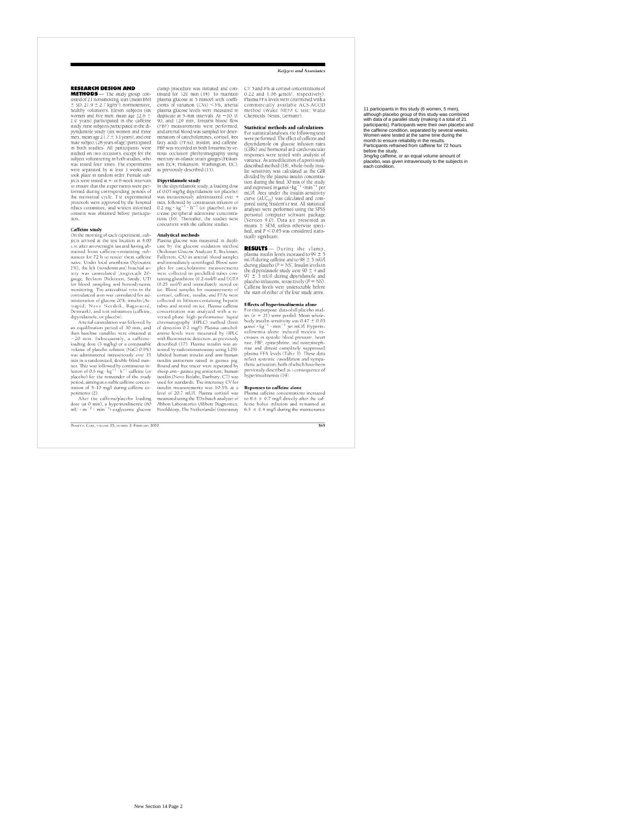### **Kelizers and Associates**

# **RESEARCH DESIGN AND**<br>**METHODS** — The study grou

**RESEARCH DESIGN AND**<br> **ANDICAL TEXT CONSTANTS CONSTANTS CONSTANTS** and the space sized of 21 nonsmoking, lean (mean BMI  $\pm$  sD, 21.9  $\pm$  2.7 kg/m<sup>3</sup>), normotensive, worms and five mean and the mean and three mean and t

# Caffeine study

tion.<br> **Caffeine study**<br> **Caffeine study**<br> **Caffeine study**<br> **Caffeine study**<br> **Caffeine study**<br>
con the mormingh fast and having ab-<br>
stained from caffeine-containing sub-<br>
stained from caffeine-containing sub-<br>
stances

DIGHTES CARE, VOLUME 25, NUMBER 2, FEBRUARY 2002

clamp procedure was initiated and continued for 120 min (14). To maintain<br>plasma glucose at 5 mmol $\theta$  with coefficients of variation (CVs) <5%, at<br>etrails clear to second with coefficients of twintinum (CVs) <5%, at<br>etra

### Dipyridamole study

**Dipyridamole study**<br> $\alpha$  in the dipyridamole (or place<br>and 0.05 mg/kg dipyridamole (or placeho) was intravenously administered or<br> $\alpha$ + and  $\alpha$  in ministered or and ministered or<br> $\alpha$ -  $\alpha$  in minister (b). The place of

### **Analytical methods**

concurrent with the canenes studes.<br> **Analytical methods**<br> **Plasma glucose was measured** in duplicate by the glucose oxidation method<br>
cate by the glucose oxidation method (Beckman Glucose Analyzer II; Beckman,<br>
Fullertron

 $\mathrm{CV}$  5 and 8% at cortisol concentrations of 0.22 and 1.06  $\mu\mathrm{mol}/\mathrm{l}$ , respectively). Plasma FFA/levels were determined with commercially available ACS-ACOD method (Wako NEFA C test; Wako Chemicals, Neuss, Germany).

Statistical methods and calculations Statistical methods and calculations<br>For statistical analyses, the following tests<br>were performed. The effect of calleine and<br>dipyridamole on glucose infusion rates (GIRs) and hormonal and cardiovascular<br>responses were te described method (18), whole-body inst lin sensitivity was calculated as the GIR<br>divided by the plasma insulin concentradivided by the plasma insulin concentra-<br>incoduring the final 30 min of the study and expressed in µunol - Ng<sup>-1</sup> - min<sup>-1</sup> per mall means<br>in mUA .<br>Area under the insulin sensitivity curve (AUC<sub>u</sub>) was calculated and comtically significant.

**RESULTS** — During the clamp, plasma insulin levels increased to 99  $\pm$  5 ml/l during callents and to 98  $\pm$  5 ml/l/l during callents and to 98  $\pm$  5 ml/l/l during placebo ( $P = \text{NS}$ ). Insulin levels in 97  $\pm$  3 ml/l/

### Effects of hyperinsulinemia alone

**Effects of hyperimulinemia alone**<br> **Effects of hyprical increases and place by such its (n = 21) were pooled. Mean whole-<br>
body insular sensitivity was 0.47**  $\pm$  **0.03<br>**  $\mu$ **mm<sup>1</sup>**  $\cdot$  **kg<sup>-1</sup>**  $\cdot$  **mm<sup>-1</sup> per mU/l. Hyperin**reflect systemic vasodilation and sympathetic activation, both of which have been previously described as a consequence of hyperinsulinemia (19).

**Reponses to cafferine alone**<br>Plasma caffeine concentrations increased<br>to 8.6  $\pm$  0.7 mg/l directly after the caf-<br>feine bolus infusion and remained at<br>6.5  $\pm$  0.4 mg/l during the maintenance

 $365$ 

11 participants in this study (6 women, 5 men),<br>although placebo group of this study was combined<br>with data of a parallel study (making it a total of 21<br>participants). Participants were their own placebo a<br>the caffeine con .<br>and Women were tested at the same time during the<br>month to ensure reliability in the results. Participants refrained from caffeine for 72 hours before the study.

corone are study.<br>3mg/kg caffeine, or an equal volume amount of placebo, was given intravenously to the subjects in each condition.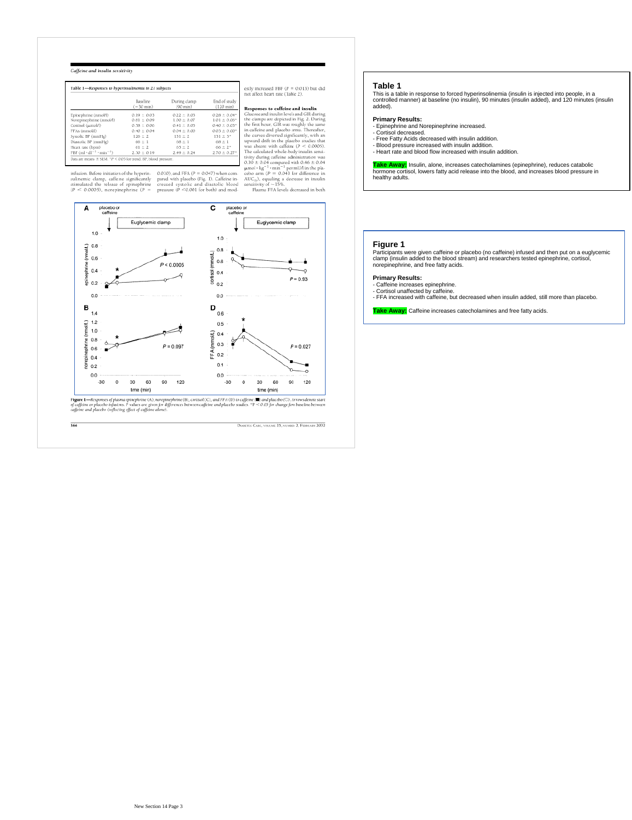# Caffeine and insulin sensitivity

|                                         | Baseline<br>$(-30 \text{ min})$ | During clamp<br>(90 min) | End of stud<br>$(120 \text{ min})$ |
|-----------------------------------------|---------------------------------|--------------------------|------------------------------------|
| Epinephrine (nmol/l)                    | $0.19 \pm 0.03$                 | $0.22 \pm 0.03$          | $0.28 \pm 0.04$                    |
| Norepinephrine (nmol/l)                 | $0.81 \pm 0.09$                 | $1.00 \pm 0.07$          | $1.01 \pm 0.06$                    |
| Cortisol (umol/l)                       | $0.58 \pm 0.06$                 | $0.41 \pm 0.03$          | $0.40 \pm 0.03$                    |
| FFAs (mmol/l)                           | $0.40 \pm 0.04$                 | $0.04 \pm 0.00$          | $0.03 \pm 0.00$                    |
| Systolic BP (mmHg)                      | $126 \pm 2$                     | $131 \pm 2$              | $131 \pm 3^*$                      |
| Diastolic BP (mmHg)                     | $66 \pm 1$                      | $68 \pm 1$               | $68 \pm 1$                         |
| Heart rate (bpm)                        | $61 \pm 2$                      | $65 \pm 2$               | $66 \pm 2$ *                       |
| FBF $(ml \cdot dl^{-1} \cdot min^{-1})$ | $2.30 \pm 0.19$                 | $2.49 \pm 0.24$          | $2.70 \pm 0.27$                    |

infusion. Before initiation of the hyperin-0.010), and FFA ( $P = 0.047$ ) when consultanents: clamp, calfeine significantly pared with placebo (Fig. 1). Caffeine initiation is simulated the release of epinephrine creased sy

366

**Responses to caffeine and insulin** (Glucose and misulin linevels and GRI during the clamps are depited in Fig. 2. During the first hour, GIR was roughly the same of indicated in a calcine and palacebo arms. Thereafter, u



DIMETES CARE, VOLUME 25, NUMBER 2, FEBRUARY 2002

estly increased FBF  $(P = 0.013)$  but did<br>not affect heart rate (Table 2).

Responses to caffeine and insulin

### **Table 1**

This is a table in response to forced hyperinsolinemia (insulin is injected into people, in a controlled manner) at baseline (no insulin), 90 minutes (insulin added), and 120 minutes (insulin added).

- **Primary Results:** Epinephrine and Norepinephrine increased. - Cortisol decreased.
- 
- 
- Free Fatty Acids decreased with insulin addition. Blood pressure increased with insulin addition. Heart rate and blood flow increased with insulin addition.

**Take Away:** Insulin, alone, increases catecholamines (epinephrine), reduces catabolic hormone cortisol, lowers fatty acid release into the blood, and increases blood pressure in healthy adults.

### **Figure 1**

Participants were given caffeine or placebo (no caffeine) infused and then put on a euglycemic clamp (insulin added to the blood stream) and researchers tested epinephrine, cortisol, norepinephrine, and free fatty acids.

# **Primary Results:**

- Caffeine increases epinephrine.

- Cortisol unaffected by caffeine. - FFA increased with caffeine, but decreased when insulin added, still more than placebo.

**Take Away:** Caffeine increases catecholamines and free fatty acids.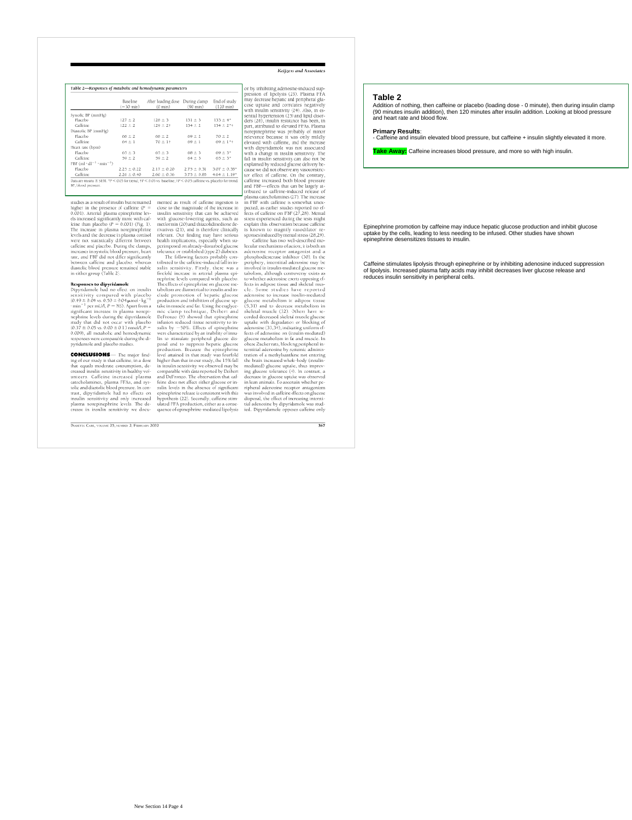# **Kelizers and Associates**

|                                         | Baseline<br>$(-30$ min) | After loading dose During clamp<br>$(0 \text{ min})$ | $(90 \text{ min})$ | End of study<br>$(120 \text{ min})$ |
|-----------------------------------------|-------------------------|------------------------------------------------------|--------------------|-------------------------------------|
| Systolic BP (mmHg)                      |                         |                                                      |                    |                                     |
| Placebo                                 | $127 + 2$               | $128 \pm 3$                                          | $131 \pm 3$        | $133 \pm 4^*$                       |
| Caffeine                                | $122 + 2$               | $129 + 27$                                           | $134 \pm 2$        | $134 \pm 2$ **                      |
| Diastolic BP (mmHg)                     |                         |                                                      |                    |                                     |
| Placebo                                 | $68 \pm 2$              | $68 \pm 2$                                           | $69 + 2$           | $70 \pm 2$                          |
| Caffeine                                | $64 \pm 1$              | $70 \pm 1$ †                                         | $69 \pm 1$         | $69 + 1$ **                         |
| Heart rate (bpm)                        |                         |                                                      |                    |                                     |
| Placebo                                 | $65 \pm 3$              | $65 \pm 3$                                           | $68 \pm 3$         | $69 \pm 3$ *                        |
| Caffeine                                | $59 + 2$                | $59 + 2$                                             | $64 + 3$           | $65 \pm 3$ *                        |
| FBF $(ml \cdot dl^{-1} \cdot min^{-1})$ |                         |                                                      |                    |                                     |
| Placebo                                 | $2.25 \pm 0.22$         | $2.17 \pm 0.20$                                      | $2.75 \pm 0.31$    | $3.07 \pm 0.38^*$                   |
| Caffeine                                | $2.26 \pm 0.40$         | $2.60 \pm 0.36$                                      | $3.75 \pm 0.85$    | $4.64 \pm 1.19$ *                   |

studies as a result of insulin but remained higher in the presence of caffeine  $\langle P = 0.001 \rangle$ . Arreial plasma epinephrine levels increased significantly more with caffeine than placebo $\langle P = 0.001 \rangle$  (Fig. 1). The increase

# Responses to dipyridamole

**Responses to dipyridannole**<br>
Dipyridannole<br>
Dipyridannole<br>
To exparitivity compared with placebon<br>
(0.49 ± 0.04 ×s. 0.50 ± 0.04 µm0<sup>1</sup> kg<sup>c</sup><br>
(nm<sup>1</sup><sup>2</sup>) per mUA,  $P = \text{NS}$ ). Apart from a significant increase in plasma no

**CONCLUSIONS** — The major find-<br>ing of our study is that calfeine, in a dose<br>that equals moderate consumption, de-<br>reased insulin sensitivity in healthy voluments. Calfeine increased plasma<br>acreed plasma expected plasma ex

DIGHTES CARE, VOLUME 25, NUMBER 2, FEBRUARY 2002

mented as result of caffeine ingestion is chosen to the magnitude of the interaction in<br>sults can the magnitude of the interaction schults sensitively that can be achieved with gluoso-lowering agents, such as<br>the interact

or by inhibiting adenosine-induced sup-<br>neasy (22). Plasma FPA grassion of lipolysis (22). Plasma FFA cove up<br>at of prephend subsetivation (25) and highed isospectrate and correlates negatively seen<br>ital hyperterison (22)

### $367$

### **Table 2**

Addition of nothing, then caffeine or placebo (loading dose - 0 minute), then during insulin clamp (90 minutes insulin addition), then 120 minutes after insulin addition. Looking at blood pressure and heart rate and blood flow.

### **Primary Results**:

- Caffeine and insulin elevated blood pressure, but caffeine + insulin slightly elevated it more.

**Take Away:** Caffeine increases blood pressure, and more so with high insulin.

Epinephrine promotion by caffeine may induce hepatic glucose production and inhibit glucose uptake by the cells, leading to less needing to be infused. Other studies have shown epinephrine desensitizes tissues to insulin.

Caffeine stimulates lipolysis through epinephrine or by inhibiting adenosine induced suppression<br>of lipolysis. Increased plasma fatty acids may inhibit decreases liver glucose release and<br>reduces insulin sensitivity in per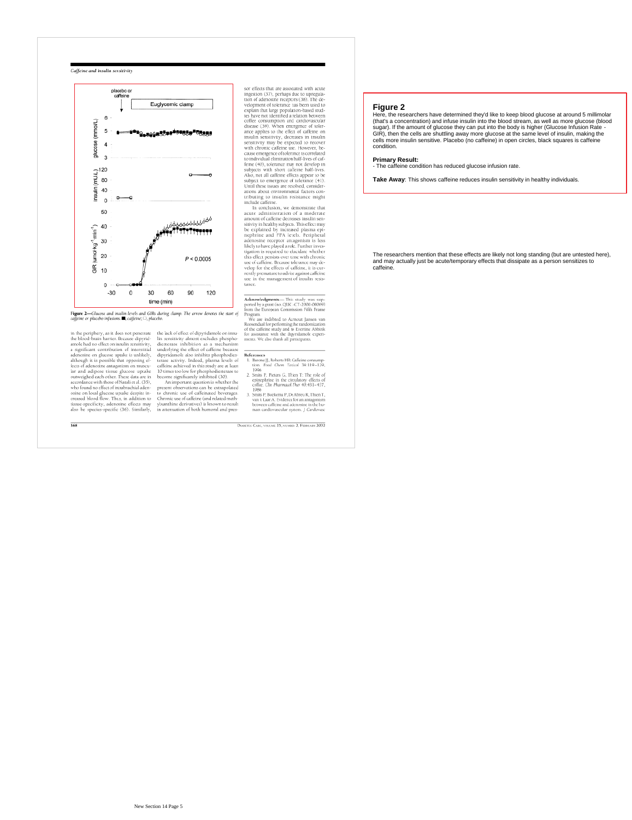Caffeine and insulin sensitivity



sor effects that are associated with a<br>cute origination (37), perhaps due to upergular conform of a<br>denosine receptors (38). The development of volence that been used to<br>explain that large population-based such explain th

Acknowledgments— This study was sup-<br>ported by a grant (no. QLK1-CT-2000-00069)<br>from the European Commission Fifth Frame

Program.<br>We are indebted to Aarnout Jansen van<br>Roosendaal for performing the randomization we are indebted to Aarnout Jansen van<br>Roosendaal for performing the randomization<br>of the calleine study and to Evertine Abbink<br>for assistance with the dipyridamole experiments. We also thank all participants.

- References<br>1. Barone JJ, Roberts HR: Caffeine consumption. Food Chem Taxicol 34:119-129,
- 1996<br>
2. Smits P, Pieters G, Thien T: The role of<br>
epimephrine in the circulatory effects of<br>
coffee. Clin Pharmacol Ther 40:431-437,<br>
1986
- 1986<br>
3. Smits P, Boekema P, De Abreu R, Thien T,<br>
van 't Laar A: Evidence for an antagonism<br>
between caffeine and adenosine in the human<br>
an cardiovascular system. J *Cardiovasc*

DIABETES CARE, VOLUME 25, NUMBER 2, FEBRUARY 2002

### **Figure 2**

Here, the researchers have determined they'd like to keep blood glucose at around 5 millimolar (that's a concentration) and infuse insulin into the blood stream, as well as more glucose (blood<br>sugar). If the amount of glucose they can put into the body is higher (Glucose Infusion Rate -<br>GIR), then the cells are shut cells more insulin sensitive. Placebo (no caffeine) in open circles, black squares is caffeine condition.

**Primary Result:** - The caffeine condition has reduced glucose infusion rate.

**Take Away**: This shows caffeine reduces insulin sensitivity in healthy individuals.

The researchers mention that these effects are likely not long standing (but are untested here), and may actually just be acute/temporary effects that dissipate as a person sensitizes to caffeir

in the periphery, as it does not penerate the blood-brain barrier. Because dipyrid-<br>anole had no effect on insuline sensitivity, a significant contribution of interstinial adenosine on glucose uptake is unlikely, although

 $\frac{1}{368}$